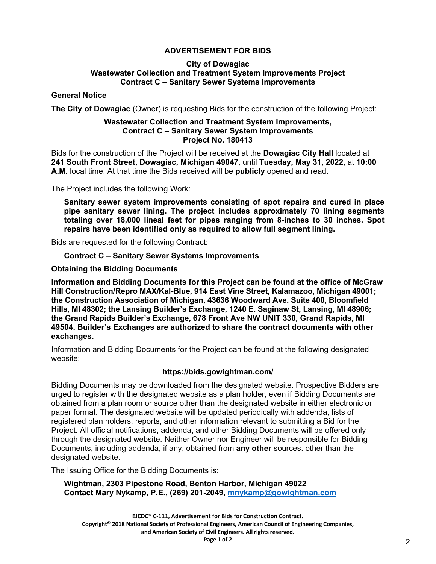# **ADVERTISEMENT FOR BIDS**

#### **City of Dowagiac Wastewater Collection and Treatment System Improvements Project Contract C – Sanitary Sewer Systems Improvements**

# **General Notice**

**The City of Dowagiac** (Owner) is requesting Bids for the construction of the following Project:

#### **Wastewater Collection and Treatment System Improvements, Contract C – Sanitary Sewer System Improvements Project No. 180413**

Bids for the construction of the Project will be received at the **Dowagiac City Hall** located at **241 South Front Street, Dowagiac, Michigan 49047**, until **Tuesday, May 31, 2022,** at **10:00 A.M.** local time. At that time the Bids received will be **publicly** opened and read.

The Project includes the following Work:

**Sanitary sewer system improvements consisting of spot repairs and cured in place pipe sanitary sewer lining. The project includes approximately 70 lining segments totaling over 18,000 lineal feet for pipes ranging from 8-inches to 30 inches. Spot repairs have been identified only as required to allow full segment lining.**

Bids are requested for the following Contract:

## **Contract C – Sanitary Sewer Systems Improvements**

**Obtaining the Bidding Documents**

**Information and Bidding Documents for this Project can be found at the office of McGraw Hill Construction/Repro MAX/Kal-Blue, 914 East Vine Street, Kalamazoo, Michigan 49001; the Construction Association of Michigan, 43636 Woodward Ave. Suite 400, Bloomfield Hills, MI 48302; the Lansing Builder's Exchange, 1240 E. Saginaw St, Lansing, MI 48906; the Grand Rapids Builder's Exchange, 678 Front Ave NW UNIT 330, Grand Rapids, MI 49504. Builder's Exchanges are authorized to share the contract documents with other exchanges.**

Information and Bidding Documents for the Project can be found at the following designated website:

## **https://bids.gowightman.com/**

Bidding Documents may be downloaded from the designated website. Prospective Bidders are urged to register with the designated website as a plan holder, even if Bidding Documents are obtained from a plan room or source other than the designated website in either electronic or paper format. The designated website will be updated periodically with addenda, lists of registered plan holders, reports, and other information relevant to submitting a Bid for the Project. All official notifications, addenda, and other Bidding Documents will be offered only through the designated website. Neither Owner nor Engineer will be responsible for Bidding Documents, including addenda, if any, obtained from **any other** sources. other than the designated website.

The Issuing Office for the Bidding Documents is:

**Wightman, 2303 Pipestone Road, Benton Harbor, Michigan 49022 Contact Mary Nykamp, P.E., (269) 201-2049, [mnykamp@gowightman.com](mailto:mnykamp@gowightman.com)**